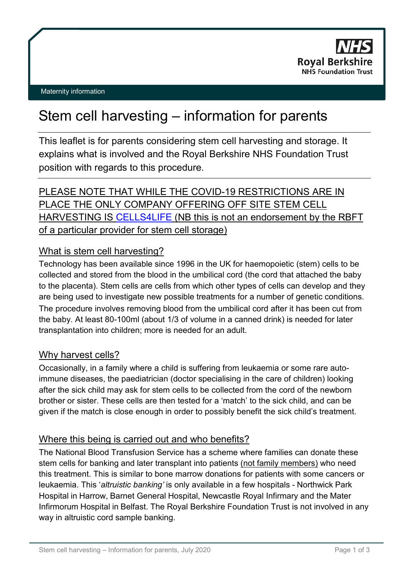

#### Maternity information

# Stem cell harvesting – information for parents

This leaflet is for parents considering stem cell harvesting and storage. It explains what is involved and the Royal Berkshire NHS Foundation Trust position with regards to this procedure.

# PLEASE NOTE THAT WHILE THE COVID-19 RESTRICTIONS ARE IN PLACE THE ONLY COMPANY OFFERING OFF SITE STEM CELL HARVESTING IS [CELLS4LIFE](https://cells4life.com/?gclid=EAIaIQobChMI8L30kcDT6QIVWe7tCh0T8ABkEAAYASAAEgLgavD_BwE) (NB this is not an endorsement by the RBFT of a particular provider for stem cell storage)

# What is stem cell harvesting?

Technology has been available since 1996 in the UK for haemopoietic (stem) cells to be collected and stored from the blood in the umbilical cord (the cord that attached the baby to the placenta). Stem cells are cells from which other types of cells can develop and they are being used to investigate new possible treatments for a number of genetic conditions. The procedure involves removing blood from the umbilical cord after it has been cut from the baby. At least 80-100ml (about 1/3 of volume in a canned drink) is needed for later transplantation into children; more is needed for an adult.

# Why harvest cells?

Occasionally, in a family where a child is suffering from leukaemia or some rare autoimmune diseases, the paediatrician (doctor specialising in the care of children) looking after the sick child may ask for stem cells to be collected from the cord of the newborn brother or sister. These cells are then tested for a 'match' to the sick child, and can be given if the match is close enough in order to possibly benefit the sick child's treatment.

# Where this being is carried out and who benefits?

The National Blood Transfusion Service has a scheme where families can donate these stem cells for banking and later transplant into patients (not family members) who need this treatment. This is similar to bone marrow donations for patients with some cancers or leukaemia. This '*altruistic banking'* is only available in a few hospitals - Northwick Park Hospital in Harrow, Barnet General Hospital, Newcastle Royal Infirmary and the Mater Infirmorum Hospital in Belfast. The Royal Berkshire Foundation Trust is not involved in any way in altruistic cord sample banking.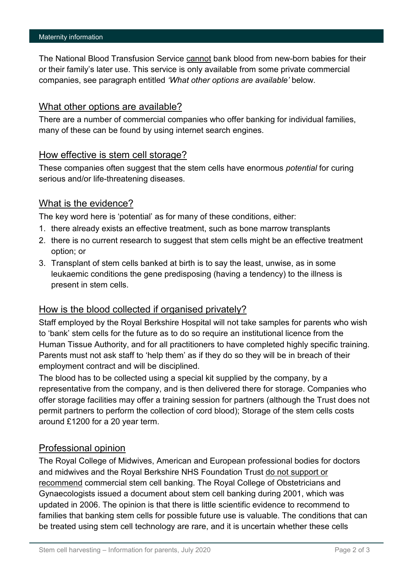The National Blood Transfusion Service cannot bank blood from new-born babies for their or their family's later use. This service is only available from some private commercial companies, see paragraph entitled *'What other options are available'* below.

#### What other options are available?

There are a number of commercial companies who offer banking for individual families, many of these can be found by using internet search engines.

#### How effective is stem cell storage?

These companies often suggest that the stem cells have enormous *potential* for curing serious and/or life-threatening diseases.

# What is the evidence?

The key word here is 'potential' as for many of these conditions, either:

- 1. there already exists an effective treatment, such as bone marrow transplants
- 2. there is no current research to suggest that stem cells might be an effective treatment option; or
- 3. Transplant of stem cells banked at birth is to say the least, unwise, as in some leukaemic conditions the gene predisposing (having a tendency) to the illness is present in stem cells.

# How is the blood collected if organised privately?

Staff employed by the Royal Berkshire Hospital will not take samples for parents who wish to 'bank' stem cells for the future as to do so require an institutional licence from the Human Tissue Authority, and for all practitioners to have completed highly specific training. Parents must not ask staff to 'help them' as if they do so they will be in breach of their employment contract and will be disciplined.

The blood has to be collected using a special kit supplied by the company, by a representative from the company, and is then delivered there for storage. Companies who offer storage facilities may offer a training session for partners (although the Trust does not permit partners to perform the collection of cord blood); Storage of the stem cells costs around £1200 for a 20 year term.

# Professional opinion

The Royal College of Midwives, American and European professional bodies for doctors and midwives and the Royal Berkshire NHS Foundation Trust do not support or recommend commercial stem cell banking. The Royal College of Obstetricians and Gynaecologists issued a document about stem cell banking during 2001, which was updated in 2006. The opinion is that there is little scientific evidence to recommend to families that banking stem cells for possible future use is valuable. The conditions that can be treated using stem cell technology are rare, and it is uncertain whether these cells